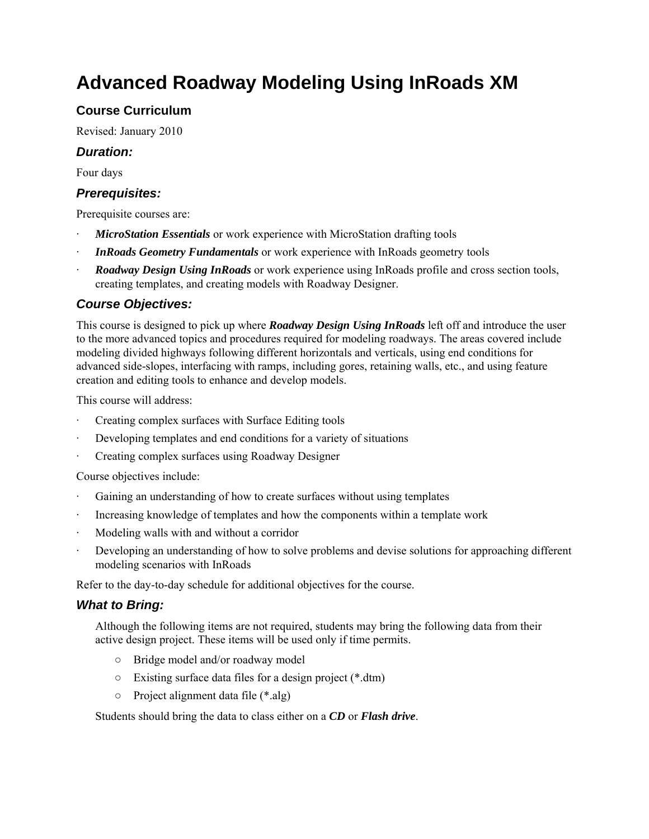# **Advanced Roadway Modeling Using InRoads XM**

## **Course Curriculum**

Revised: January 2010

#### *Duration:*

Four days

#### *Prerequisites:*

Prerequisite courses are:

- **MicroStation Essentials** or work experience with MicroStation drafting tools
- **InRoads Geometry Fundamentals** or work experience with InRoads geometry tools
- · *Roadway Design Using InRoads* or work experience using InRoads profile and cross section tools, creating templates, and creating models with Roadway Designer.

### *Course Objectives:*

This course is designed to pick up where *Roadway Design Using InRoads* left off and introduce the user to the more advanced topics and procedures required for modeling roadways. The areas covered include modeling divided highways following different horizontals and verticals, using end conditions for advanced side-slopes, interfacing with ramps, including gores, retaining walls, etc., and using feature creation and editing tools to enhance and develop models.

This course will address:

- Creating complex surfaces with Surface Editing tools
- Developing templates and end conditions for a variety of situations
- · Creating complex surfaces using Roadway Designer

Course objectives include:

- Gaining an understanding of how to create surfaces without using templates
- Increasing knowledge of templates and how the components within a template work
- Modeling walls with and without a corridor
- · Developing an understanding of how to solve problems and devise solutions for approaching different modeling scenarios with InRoads

Refer to the day-to-day schedule for additional objectives for the course.

#### *What to Bring:*

Although the following items are not required, students may bring the following data from their active design project. These items will be used only if time permits.

- Bridge model and/or roadway model
- Existing surface data files for a design project (\*.dtm)
- Project alignment data file (\*.alg)

Students should bring the data to class either on a *CD* or *Flash drive*.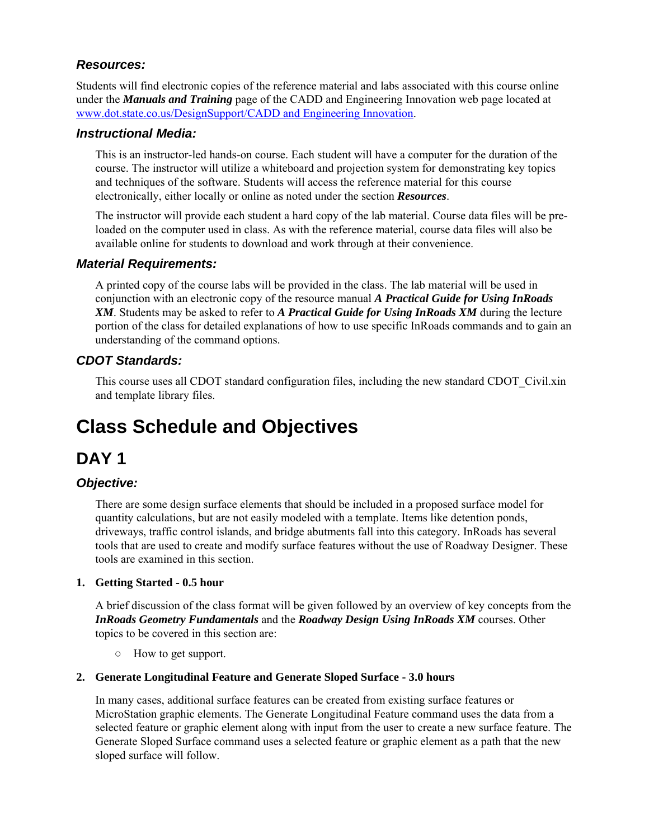### *Resources:*

Students will find electronic copies of the reference material and labs associated with this course online under the *Manuals and Training* page of the CADD and Engineering Innovation web page located at www.dot.state.co.us/DesignSupport/CADD and Engineering Innovation.

#### *Instructional Media:*

This is an instructor-led hands-on course. Each student will have a computer for the duration of the course. The instructor will utilize a whiteboard and projection system for demonstrating key topics and techniques of the software. Students will access the reference material for this course electronically, either locally or online as noted under the section *Resources*.

The instructor will provide each student a hard copy of the lab material. Course data files will be preloaded on the computer used in class. As with the reference material, course data files will also be available online for students to download and work through at their convenience.

#### *Material Requirements:*

A printed copy of the course labs will be provided in the class. The lab material will be used in conjunction with an electronic copy of the resource manual *A Practical Guide for Using InRoads XM*. Students may be asked to refer to *A Practical Guide for Using InRoads XM* during the lecture portion of the class for detailed explanations of how to use specific InRoads commands and to gain an understanding of the command options.

### *CDOT Standards:*

This course uses all CDOT standard configuration files, including the new standard CDOT\_Civil.xin and template library files.

# **Class Schedule and Objectives**

# **DAY 1**

# *Objective:*

There are some design surface elements that should be included in a proposed surface model for quantity calculations, but are not easily modeled with a template. Items like detention ponds, driveways, traffic control islands, and bridge abutments fall into this category. InRoads has several tools that are used to create and modify surface features without the use of Roadway Designer. These tools are examined in this section.

#### **1. Getting Started - 0.5 hour**

A brief discussion of the class format will be given followed by an overview of key concepts from the *InRoads Geometry Fundamentals* and the *Roadway Design Using InRoads XM* courses. Other topics to be covered in this section are:

○ How to get support.

#### **2. Generate Longitudinal Feature and Generate Sloped Surface - 3.0 hours**

In many cases, additional surface features can be created from existing surface features or MicroStation graphic elements. The Generate Longitudinal Feature command uses the data from a selected feature or graphic element along with input from the user to create a new surface feature. The Generate Sloped Surface command uses a selected feature or graphic element as a path that the new sloped surface will follow.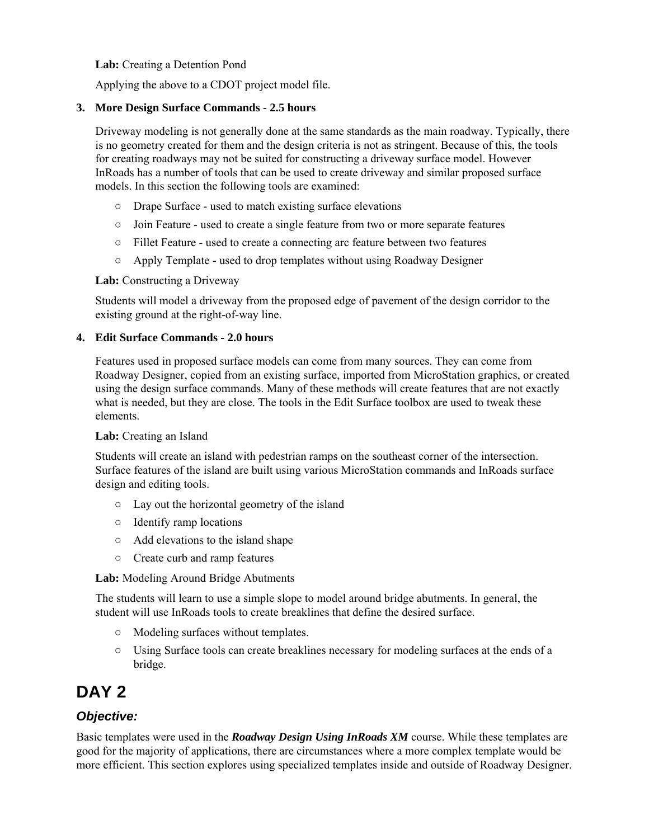#### **Lab:** Creating a Detention Pond

Applying the above to a CDOT project model file.

#### **3. More Design Surface Commands - 2.5 hours**

Driveway modeling is not generally done at the same standards as the main roadway. Typically, there is no geometry created for them and the design criteria is not as stringent. Because of this, the tools for creating roadways may not be suited for constructing a driveway surface model. However InRoads has a number of tools that can be used to create driveway and similar proposed surface models. In this section the following tools are examined:

- Drape Surface used to match existing surface elevations
- Join Feature used to create a single feature from two or more separate features
- Fillet Feature used to create a connecting arc feature between two features
- Apply Template used to drop templates without using Roadway Designer

#### **Lab:** Constructing a Driveway

Students will model a driveway from the proposed edge of pavement of the design corridor to the existing ground at the right-of-way line.

#### **4. Edit Surface Commands - 2.0 hours**

Features used in proposed surface models can come from many sources. They can come from Roadway Designer, copied from an existing surface, imported from MicroStation graphics, or created using the design surface commands. Many of these methods will create features that are not exactly what is needed, but they are close. The tools in the Edit Surface toolbox are used to tweak these elements.

#### **Lab:** Creating an Island

Students will create an island with pedestrian ramps on the southeast corner of the intersection. Surface features of the island are built using various MicroStation commands and InRoads surface design and editing tools.

- Lay out the horizontal geometry of the island
- Identify ramp locations
- Add elevations to the island shape
- Create curb and ramp features

#### **Lab:** Modeling Around Bridge Abutments

The students will learn to use a simple slope to model around bridge abutments. In general, the student will use InRoads tools to create breaklines that define the desired surface.

- Modeling surfaces without templates.
- Using Surface tools can create breaklines necessary for modeling surfaces at the ends of a bridge.

# **DAY 2**

# *Objective:*

Basic templates were used in the *Roadway Design Using InRoads XM* course. While these templates are good for the majority of applications, there are circumstances where a more complex template would be more efficient. This section explores using specialized templates inside and outside of Roadway Designer.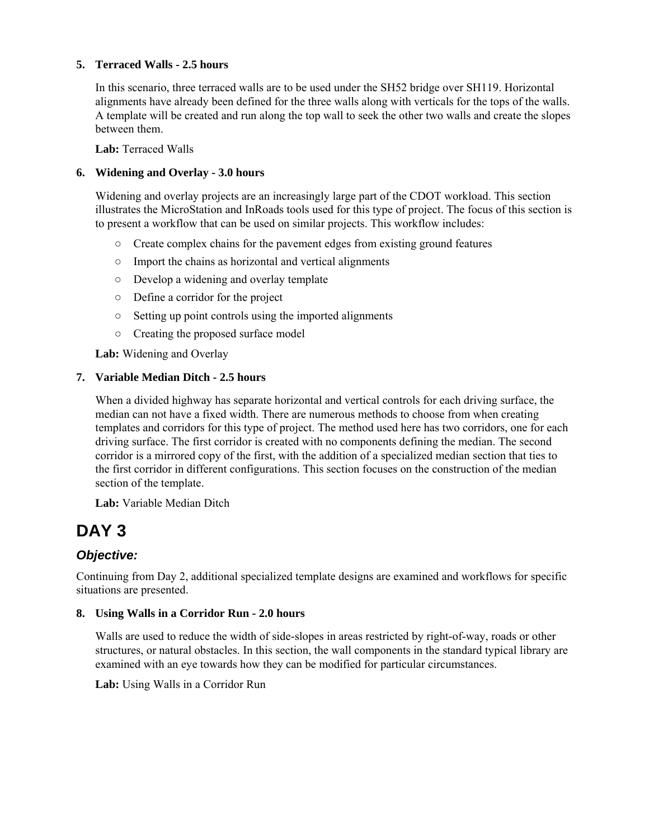#### **5. Terraced Walls - 2.5 hours**

In this scenario, three terraced walls are to be used under the SH52 bridge over SH119. Horizontal alignments have already been defined for the three walls along with verticals for the tops of the walls. A template will be created and run along the top wall to seek the other two walls and create the slopes between them.

**Lab:** Terraced Walls

#### **6. Widening and Overlay - 3.0 hours**

Widening and overlay projects are an increasingly large part of the CDOT workload. This section illustrates the MicroStation and InRoads tools used for this type of project. The focus of this section is to present a workflow that can be used on similar projects. This workflow includes:

- $\circ$  Create complex chains for the pavement edges from existing ground features
- Import the chains as horizontal and vertical alignments
- Develop a widening and overlay template
- Define a corridor for the project
- Setting up point controls using the imported alignments
- Creating the proposed surface model

**Lab:** Widening and Overlay

#### **7. Variable Median Ditch - 2.5 hours**

When a divided highway has separate horizontal and vertical controls for each driving surface, the median can not have a fixed width. There are numerous methods to choose from when creating templates and corridors for this type of project. The method used here has two corridors, one for each driving surface. The first corridor is created with no components defining the median. The second corridor is a mirrored copy of the first, with the addition of a specialized median section that ties to the first corridor in different configurations. This section focuses on the construction of the median section of the template.

**Lab:** Variable Median Ditch

# **DAY 3**

### *Objective:*

Continuing from Day 2, additional specialized template designs are examined and workflows for specific situations are presented.

#### **8. Using Walls in a Corridor Run - 2.0 hours**

Walls are used to reduce the width of side-slopes in areas restricted by right-of-way, roads or other structures, or natural obstacles. In this section, the wall components in the standard typical library are examined with an eye towards how they can be modified for particular circumstances.

**Lab:** Using Walls in a Corridor Run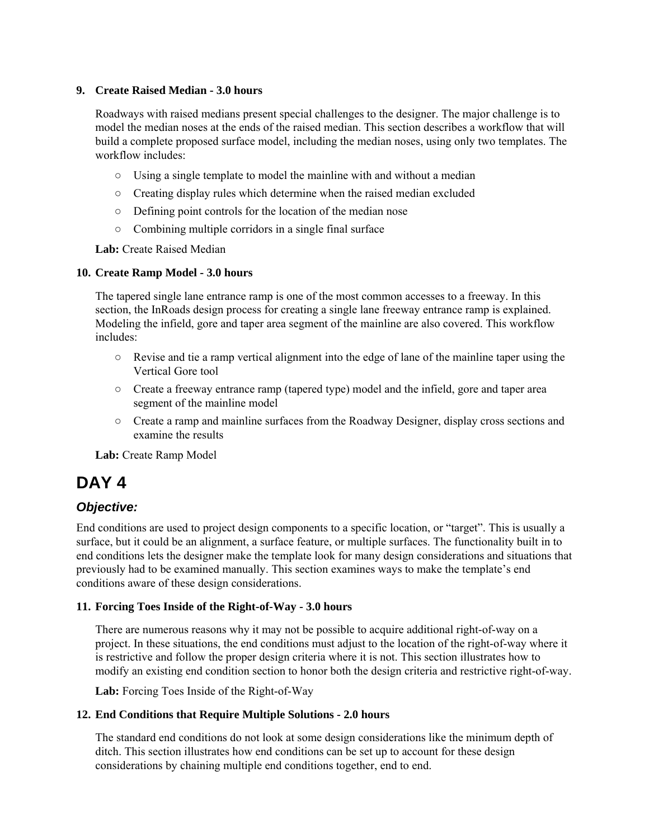#### **9. Create Raised Median - 3.0 hours**

Roadways with raised medians present special challenges to the designer. The major challenge is to model the median noses at the ends of the raised median. This section describes a workflow that will build a complete proposed surface model, including the median noses, using only two templates. The workflow includes:

- Using a single template to model the mainline with and without a median
- Creating display rules which determine when the raised median excluded
- Defining point controls for the location of the median nose
- Combining multiple corridors in a single final surface

**Lab:** Create Raised Median

#### **10. Create Ramp Model - 3.0 hours**

The tapered single lane entrance ramp is one of the most common accesses to a freeway. In this section, the InRoads design process for creating a single lane freeway entrance ramp is explained. Modeling the infield, gore and taper area segment of the mainline are also covered. This workflow includes:

- Revise and tie a ramp vertical alignment into the edge of lane of the mainline taper using the Vertical Gore tool
- Create a freeway entrance ramp (tapered type) model and the infield, gore and taper area segment of the mainline model
- Create a ramp and mainline surfaces from the Roadway Designer, display cross sections and examine the results

**Lab:** Create Ramp Model

# **DAY 4**

#### *Objective:*

End conditions are used to project design components to a specific location, or "target". This is usually a surface, but it could be an alignment, a surface feature, or multiple surfaces. The functionality built in to end conditions lets the designer make the template look for many design considerations and situations that previously had to be examined manually. This section examines ways to make the template's end conditions aware of these design considerations.

#### **11. Forcing Toes Inside of the Right-of-Way - 3.0 hours**

There are numerous reasons why it may not be possible to acquire additional right-of-way on a project. In these situations, the end conditions must adjust to the location of the right-of-way where it is restrictive and follow the proper design criteria where it is not. This section illustrates how to modify an existing end condition section to honor both the design criteria and restrictive right-of-way.

**Lab:** Forcing Toes Inside of the Right-of-Way

#### **12. End Conditions that Require Multiple Solutions - 2.0 hours**

The standard end conditions do not look at some design considerations like the minimum depth of ditch. This section illustrates how end conditions can be set up to account for these design considerations by chaining multiple end conditions together, end to end.